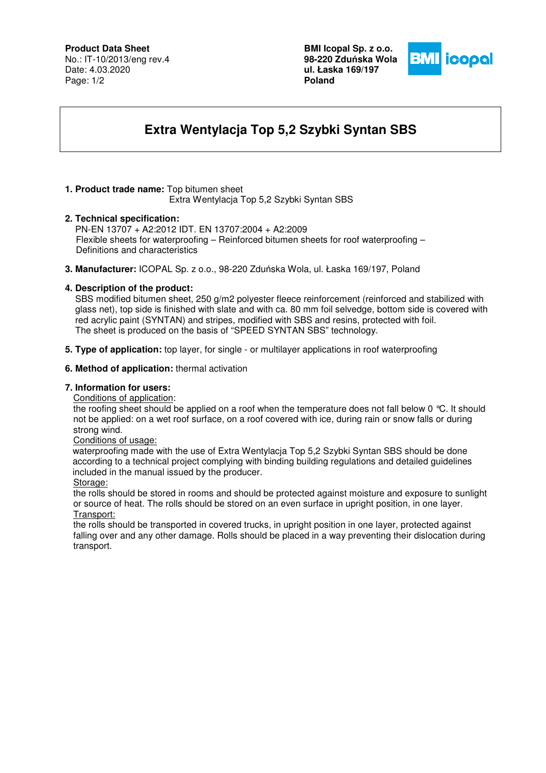# **Product Data Sheet**

No.: IT-10/2013/eng rev.4 Date: 4.03.2020 Page: 1/2

**BMI Icopal Sp. z o.o. 98-220 Zdu**ń**ska Wola ul. Łaska 169/197 Poland** 



# **Extra Wentylacja Top 5,2 Szybki Syntan SBS**

# **1. Product trade name:** Top bitumen sheet

Extra Wentylacja Top 5,2 Szybki Syntan SBS

## **2. Technical specification:**

PN-EN 13707 + A2:2012 IDT. EN 13707:2004 + A2:2009 Flexible sheets for waterproofing – Reinforced bitumen sheets for roof waterproofing – Definitions and characteristics

**3. Manufacturer:** ICOPAL Sp. z o.o., 98-220 Zduńska Wola, ul. Łaska 169/197, Poland

## **4. Description of the product:**

SBS modified bitumen sheet, 250 g/m2 polyester fleece reinforcement (reinforced and stabilized with glass net), top side is finished with slate and with ca. 80 mm foil selvedge, bottom side is covered with red acrylic paint (SYNTAN) and stripes, modified with SBS and resins, protected with foil. The sheet is produced on the basis of "SPEED SYNTAN SBS" technology.

**5. Type of application:** top layer, for single - or multilayer applications in roof waterproofing

## **6. Method of application:** thermal activation

## **7. Information for users:**

Conditions of application:

the roofing sheet should be applied on a roof when the temperature does not fall below 0 °C. It should not be applied: on a wet roof surface, on a roof covered with ice, during rain or snow falls or during strong wind.

#### Conditions of usage:

 waterproofing made with the use of Extra Wentylacja Top 5,2 Szybki Syntan SBS should be done according to a technical project complying with binding building regulations and detailed guidelines included in the manual issued by the producer.

#### Storage:

the rolls should be stored in rooms and should be protected against moisture and exposure to sunlight or source of heat. The rolls should be stored on an even surface in upright position, in one layer. Transport:

the rolls should be transported in covered trucks, in upright position in one layer, protected against falling over and any other damage. Rolls should be placed in a way preventing their dislocation during transport.